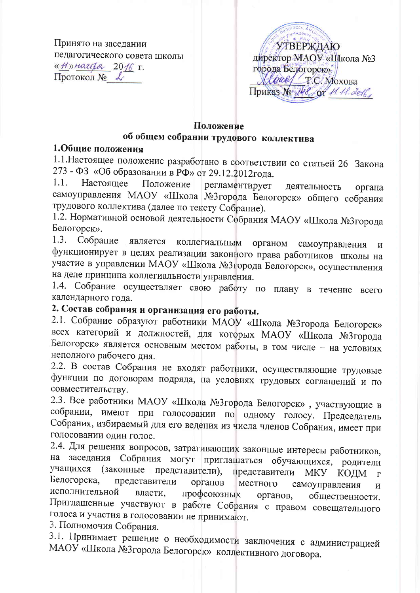Принято на заседании педагогического совета школы «Hymaropa 2016 r. Протокол № L

**TOPES** A **УТВЕРЖДАЮ** директор МАОУ «Школа №3 города Белогорск». *Alexal T.C. Moxoba* Приказ No 248 от 11.11. 2016

## Положение

## об общем собрании трудового коллектива

## 1.Общие положения

1.1. Настоящее положение разработано в соответствии со статьей 26 Закона 273 - ФЗ «Об образовании в РФ» от 29.12.2012года.

 $1.1.$ Настояшее Положение регламентирует деятельность органа самоуправления МАОУ «Школа №3города Белогорск» общего собрания трудового коллектива (далее по тексту Собрание).

1.2. Нормативной основой деятельности Собрания МАОУ «Школа №3города Белогорск».

1.3. Собрание коллегиальным является органом самоуправления  $\boldsymbol{M}$ функционирует в целях реализации законного права работников школы на участие в управлении МАОУ «Школа №3города Белогорск», осуществления на деле принципа коллегиальности управления.

1.4. Собрание осуществляет свою работу по плану в течение всего календарного года.

## 2. Состав собрания и организация его работы.

2.1. Собрание образуют работники МАОУ «Школа №3города Белогорск» всех категорий и должностей, для которых МАОУ «Школа №3города Белогорск» является основным местом работы, в том числе - на условиях неполного рабочего дня.

2.2. В состав Собрания не входят работники, осуществляющие трудовые функции по договорам подряда, на условиях трудовых соглашений и по совместительству.

2.3. Все работники МАОУ «Школа №3города Белогорск», участвующие в собрании, имеют при голосовании по одному голосу. Председатель Собрания, избираемый для его ведения из числа членов Собрания, имеет при голосовании один голос.

2.4. Для решения вопросов, затрагивающих законные интересы работников, на заседания Собрания могут приглашаться обучающихся, родители (законные представители), учащихся представители МКУ КОДМ  $\Gamma$ Белогорска, представители органов местного самоуправления  $\boldsymbol{M}$ исполнительной профсоюзных власти. общественности. органов, Приглашенные участвуют в работе Собрания с правом совещательного голоса и участия в голосовании не принимают.

3. Полномочия Собрания.

3.1. Принимает решение о необходимости заключения с администрацией МАОУ «Школа №3города Белогорск» коллективного договора.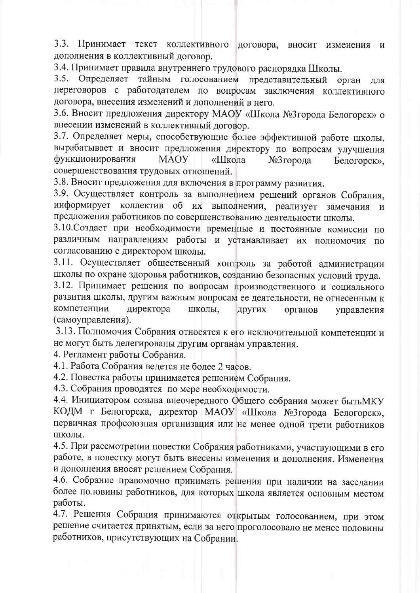3.3. Принимает текст коллективного договора, вносит изменения  $\mathbf{M}$ дополнения в коллективный договор.

3.4. Принимает правила внутреннего трудового распорядка Школы.

3.5. Определяет тайным голосованием представительный орган для переговоров с работодателем по вопросам заключения коллективного договора, внесения изменений и дополнений в него.

3.6. Вносит предложения директору МАОУ «Школа №3города Белогорск» о внесении изменений в коллективный договор.

3.7. Определяет меры, способствующие более эффективной работе школы, вырабатывает и вносит предложения директору по вопросам улучшения функционирования **MAOY** «Школа №3города Белогорск». совершенствования трудовых отношений.

3.8. Вносит предложения для включения в программу развития.

3.9. Осуществляет контроль за выполнением решений органов Собрания, информирует коллектив об их выполнении, реализует замечания  $\overline{M}$ предложения работников по совершенствованию деятельности школы.

3.10. Создает при необходимости временные и постоянные комиссии по различным направлениям работы и устанавливает их полномочия по согласованию с директором школы.

3.11. Осуществляет общественный контроль за работой администрации школы по охране здоровья работников, созданию безопасных условий труда.

3.12. Принимает решения по вопросам производственного и социального развития школы, другим важным вопросам ее деятельности, не отнесенным к компетенции директора школы, других органов управления (самоуправления).

3.13. Полномочия Собрания относятся к его исключительной компетенции и не могут быть делегированы другим органам управления.

4. Регламент работы Собрания.

4.1. Работа Собрания ведется не более 2 часов.

4.2. Повестка работы принимается решением Собрания.

4.3. Собрания проводятся по мере необходимости.

4.4. Инициатором созыва внеочередного Общего собрания может бытьМКУ КОДМ г Белогорска, директор МАОУ «Школа №3города Белогорск», первичная профсоюзная организация или не менее одной трети работников ШКОЛЫ.

4.5. При рассмотрении повестки Собрания работниками, участвующими в его работе, в повестку могут быть внесены изменения и дополнения. Изменения и дополнения вносят решением Собрания.

4.6. Собрание правомочно принимать решения при наличии на заседании более половины работников, для которых школа является основным местом работы.

4.7. Решения Собрания принимаются открытым голосованием, при этом решение считается принятым, если за него проголосовало не менее половины работников, присутствующих на Собрании.